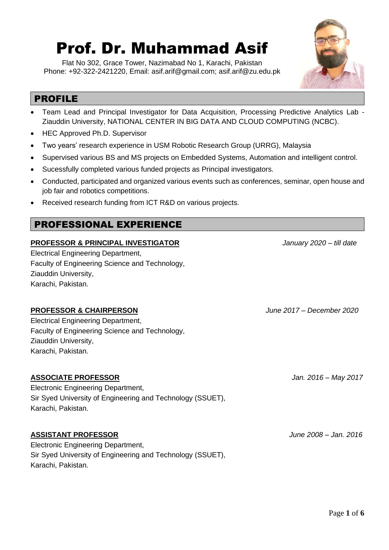# Prof. Dr. Muhammad Asif

Flat No 302, Grace Tower, Nazimabad No 1, Karachi, Pakistan Phone: +92-322-2421220, Email: [asif.arif@gmail.com;](mailto:asif.arif@gmail.com) asif.arif@zu.edu.pk



# PROFILE

- Team Lead and Principal Investigator for Data Acquisition, Processing Predictive Analytics Lab Ziauddin University, NATIONAL CENTER IN BIG DATA AND CLOUD COMPUTING (NCBC).
- HEC Approved Ph.D. Supervisor
- Two years' research experience in USM Robotic Research Group (URRG), Malaysia
- Supervised various BS and MS projects on Embedded Systems, Automation and intelligent control.
- Sucessfully completed various funded projects as Principal investigators.
- Conducted, participated and organized various events such as conferences, seminar, open house and job fair and robotics competitions.
- Received research funding from ICT R&D on various projects.

# PROFESSIONAL EXPERIENCE

#### **PROFESSOR & PRINCIPAL INVESTIGATOR** *January 2020 – till date*

Electrical Engineering Department, Faculty of Engineering Science and Technology, Ziauddin University, Karachi, Pakistan.

#### **PROFESSOR & CHAIRPERSON** *June 2017 – December 2020*

Electrical Engineering Department, Faculty of Engineering Science and Technology, Ziauddin University, Karachi, Pakistan.

### **ASSOCIATE PROFESSOR** *Jan. 2016 – May 2017*

Electronic Engineering Department, Sir Syed University of Engineering and Technology (SSUET), Karachi, Pakistan.

#### **ASSISTANT PROFESSOR** *June 2008 – Jan. 2016*

Electronic Engineering Department, Sir Syed University of Engineering and Technology (SSUET), Karachi, Pakistan.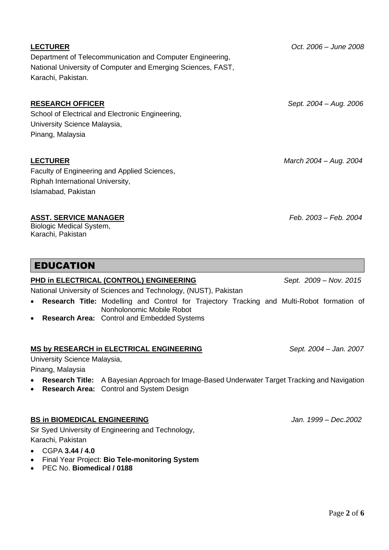# Department of Telecommunication and Computer Engineering, National University of Computer and Emerging Sciences, FAST, Karachi, Pakistan.

#### **RESEARCH OFFICER** *Sept. 2004 – Aug. 2006*

School of Electrical and Electronic Engineering, University Science Malaysia, Pinang, Malaysia

Faculty of Engineering and Applied Sciences, Riphah International University, Islamabad, Pakistan

#### **ASST. SERVICE MANAGER** *Feb. 2003 – Feb. 2004*

Biologic Medical System, Karachi, Pakistan

# EDUCATION

#### **PHD in ELECTRICAL (CONTROL) ENGINEERING** *Sept. 2009 – Nov. 2015*

National University of Sciences and Technology, (NUST), Pakistan

- **Research Title:** Modelling and Control for Trajectory Tracking and Multi-Robot formation of Nonholonomic Mobile Robot
- **Research Area:** Control and Embedded Systems

#### **MS by RESEARCH in ELECTRICAL ENGINEERING** *Sept. 2004 – Jan. 2007*

University Science Malaysia,

Pinang, Malaysia

- **Research Title:** A Bayesian Approach for Image-Based Underwater Target Tracking and Navigation
- **Research Area:** Control and System Design

## **BS in BIOMEDICAL ENGINEERING** *Jan. 1999 – Dec.2002*

Sir Syed University of Engineering and Technology, Karachi, Pakistan

- CGPA **3.44 / 4.0**
- Final Year Project: **Bio Tele-monitoring System**
- PEC No. **Biomedical / 0188**

**LECTURER** *Oct. 2006 – June 2008*

**LECTURER** *March 2004 – Aug. 2004*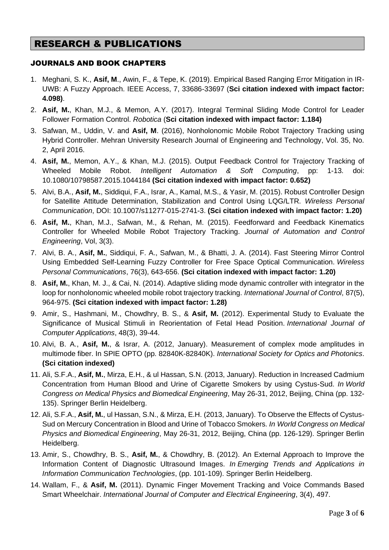# RESEARCH & PUBLICATIONS

#### JOURNALS AND BOOK CHAPTERS

- 1. Meghani, S. K., **Asif, M**., Awin, F., & Tepe, K. (2019). Empirical Based Ranging Error Mitigation in IR-UWB: A Fuzzy Approach. IEEE Access, 7, 33686-33697 (**Sci citation indexed with impact factor: 4.098)**.
- 2. **Asif, M.**, Khan, M.J., & Memon, A.Y. (2017). Integral Terminal Sliding Mode Control for Leader Follower Formation Control. *Robotica* (**Sci citation indexed with impact factor: 1.184)**
- 3. Safwan, M., Uddin, V. and **Asif, M**. (2016), Nonholonomic Mobile Robot Trajectory Tracking using Hybrid Controller. Mehran University Research Journal of Engineering and Technology, Vol. 35, No. 2, April 2016.
- 4. **Asif, M.**, Memon, A.Y., & Khan, M.J. (2015). Output Feedback Control for Trajectory Tracking of Wheeled Mobile Robot. *Intelligent Automation & Soft Computing*, pp: 1-13. doi: 10.1080/10798587.2015.1044184 **(Sci citation indexed with impact factor: 0.652)**
- 5. Alvi, B.A., **Asif, M.**, Siddiqui, F.A., Israr, A., Kamal, M.S., & Yasir, M. (2015). Robust Controller Design for Satellite Attitude Determination, Stabilization and Control Using LQG/LTR. *Wireless Personal Communication*, DOI: 10.1007/s11277-015-2741-3. **(Sci citation indexed with impact factor: 1.20)**
- 6. **Asif, M.**, Khan, M.J., Safwan, M., & Rehan, M. (2015). Feedforward and Feedback Kinematics Controller for Wheeled Mobile Robot Trajectory Tracking. *Journal of Automation and Control Engineering*, Vol, 3(3).
- 7. Alvi, B. A., **Asif, M.**, Siddiqui, F. A., Safwan, M., & Bhatti, J. A. (2014). Fast Steering Mirror Control Using Embedded Self-Learning Fuzzy Controller for Free Space Optical Communication. *Wireless Personal Communications*, 76(3), 643-656. **(Sci citation indexed with impact factor: 1.20)**
- 8. **Asif, M.**, Khan, M. J., & Cai, N. (2014). Adaptive sliding mode dynamic controller with integrator in the loop for nonholonomic wheeled mobile robot trajectory tracking. *International Journal of Control*, 87(5), 964-975. **(Sci citation indexed with impact factor: 1.28)**
- 9. Amir, S., Hashmani, M., Chowdhry, B. S., & **Asif, M.** (2012). Experimental Study to Evaluate the Significance of Musical Stimuli in Reorientation of Fetal Head Position. *International Journal of Computer Applications*, 48(3), 39-44.
- 10. Alvi, B. A., **Asif, M.**, & Israr, A. (2012, January). Measurement of complex mode amplitudes in multimode fiber. In SPIE OPTO (pp. 82840K-82840K). *International Society for Optics and Photonics*. **(Sci citation indexed)**
- 11. Ali, S.F.A., **Asif, M.**, Mirza, E.H., & ul Hassan, S.N. (2013, January). Reduction in Increased Cadmium Concentration from Human Blood and Urine of Cigarette Smokers by using Cystus-Sud. *In World Congress on Medical Physics and Biomedical Engineering*, May 26-31, 2012, Beijing, China (pp. 132- 135). Springer Berlin Heidelberg.
- 12. Ali, S.F.A., **Asif, M.**, ul Hassan, S.N., & Mirza, E.H. (2013, January). To Observe the Effects of Cystus-Sud on Mercury Concentration in Blood and Urine of Tobacco Smokers*. In World Congress on Medical Physics and Biomedical Engineering*, May 26-31, 2012, Beijing, China (pp. 126-129). Springer Berlin Heidelberg.
- 13. Amir, S., Chowdhry, B. S., **Asif, M.**, & Chowdhry, B. (2012). An External Approach to Improve the Information Content of Diagnostic Ultrasound Images. *In Emerging Trends and Applications in Information Communication Technologies*, (pp. 101-109). Springer Berlin Heidelberg.
- 14. Wallam, F., & **Asif, M.** (2011). Dynamic Finger Movement Tracking and Voice Commands Based Smart Wheelchair. *International Journal of Computer and Electrical Engineering*, 3(4), 497.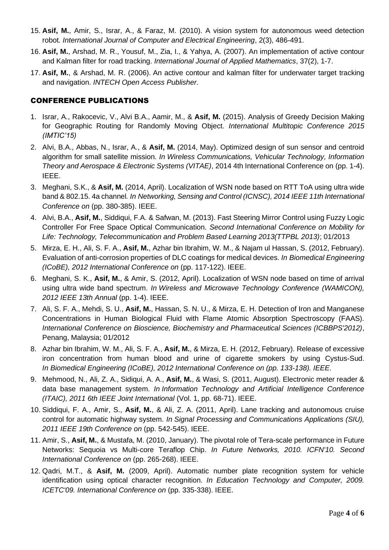- 15. **Asif, M.**, Amir, S., Israr, A., & Faraz, M. (2010). A vision system for autonomous weed detection robot*. International Journal of Computer and Electrical Engineering*, 2(3), 486-491.
- 16. **Asif, M.**, Arshad, M. R., Yousuf, M., Zia, I., & Yahya, A. (2007). An implementation of active contour and Kalman filter for road tracking. *International Journal of Applied Mathematics*, 37(2), 1-7.
- 17. **Asif, M.**, & Arshad, M. R. (2006). An active contour and kalman filter for underwater target tracking and navigation. *INTECH Open Access Publisher*.

#### CONFERENCE PUBLICATIONS

- 1. Israr, [A.,](https://www.researchgate.net/researcher/2036885131_Amber_Israr) Rakocevic, V., Alvi B.A., Aamir, M., & **Asif, M.** (2015). Analysis of Greedy Decision Making for Geographic Routing for Randomly Moving Object. *International Multitopic Conference 2015 (IMTIC'15)*
- 2. Alvi, B.A., Abbas, N., Israr, A., & **Asif, M.** (2014, May). Optimized design of sun sensor and centroid algorithm for small satellite mission*. In Wireless Communications, Vehicular Technology, Information Theory and Aerospace & Electronic Systems (VITAE)*, 2014 4th International Conference on (pp. 1-4). IEEE.
- 3. Meghani, S.K., & **Asif, M.** (2014, April). Localization of WSN node based on RTT ToA using ultra wide band & 802.15. 4a channel*. In Networking, Sensing and Control (ICNSC), 2014 IEEE 11th International Conference on* (pp. 380-385). IEEE.
- 4. Alvi, B.A., **Asif, M.**, Siddiqui, F.A. & Safwan, M. (2013). Fast Steering Mirror Control using Fuzzy Logic Controller For Free Space Optical Communication. *Second International Conference on Mobility for Life: Technology, Telecommunication and Problem Based Learning 2013(TTPBL 2013)*; 01/2013
- 5. Mirza, E. H., Ali, S. F. A., **Asif, M.**, Azhar bin Ibrahim, W. M., & Najam ul Hassan, S. (2012, February). Evaluation of anti-corrosion properties of DLC coatings for medical devices. *In Biomedical Engineering (ICoBE), 2012 International Conference on* (pp. 117-122). IEEE.
- 6. Meghani, S. K., **Asif, M.**, & Amir, S. (2012, April). Localization of WSN node based on time of arrival using ultra wide band spectrum. *In Wireless and Microwave Technology Conference (WAMICON), 2012 IEEE 13th Annual* (pp. 1-4). IEEE.
- 7. Ali, S. F. A., Mehdi, S. U., **Asif, M.**, Hassan, S. N. U., & Mirza, E. H. Detection of Iron and Manganese Concentrations in Human Biological Fluid with Flame Atomic Absorption Spectroscopy (FAAS). *International Conference on Bioscience, Biochemistry and Pharmaceutical Sciences (ICBBPS'2012)*, Penang, Malaysia; 01/2012
- 8. Azhar bin Ibrahim, W. M., Ali, S. F. A., **Asif, M.**, & Mirza, E. H. (2012, February). Release of excessive iron concentration from human blood and urine of cigarette smokers by using Cystus-Sud. *In Biomedical Engineering (ICoBE), 2012 International Conference on (pp. 133-138). IEEE*.
- 9. Mehmood, N., Ali, Z. A., Sidiqui, A. A., **Asif, M.**, & Wasi, S. (2011, August). Electronic meter reader & data base management system. *In Information Technology and Artificial Intelligence Conference (ITAIC), 2011 6th IEEE Joint International* (Vol. 1, pp. 68-71). IEEE.
- 10. Siddiqui, F. A., Amir, S., **Asif, M.**, & Ali, Z. A. (2011, April). Lane tracking and autonomous cruise control for automatic highway system. *In Signal Processing and Communications Applications (SIU), 2011 IEEE 19th Conference on* (pp. 542-545). IEEE.
- 11. Amir, S., **Asif, M.**, & Mustafa, M. (2010, January). The pivotal role of Tera-scale performance in Future Networks: Sequoia vs Multi-core Teraflop Chip. *In Future Networks, 2010. ICFN'10. Second International Conference on* (pp. 265-268). IEEE.
- 12. Qadri, M.T., & **Asif, M.** (2009, April). Automatic number plate recognition system for vehicle identification using optical character recognition. *In Education Technology and Computer, 2009. ICETC'09. International Conference on* (pp. 335-338). IEEE.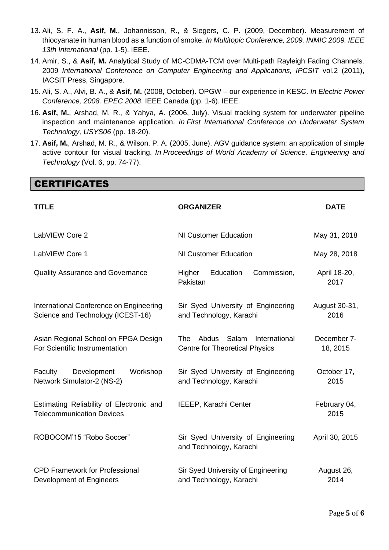- 13. Ali, S. F. A., **Asif, M.**, Johannisson, R., & Siegers, C. P. (2009, December). Measurement of thiocyanate in human blood as a function of smoke. *In Multitopic Conference, 2009. INMIC 2009. IEEE 13th International* (pp. 1-5). IEEE.
- 14. Amir, S., & **Asif, M.** Analytical Study of MC-CDMA-TCM over Multi-path Rayleigh Fading Channels. 2009 *International Conference on Computer Engineering and Applications, IPCSIT* vol.2 (2011), IACSIT Press, Singapore.
- 15. Ali, S. A., Alvi, B. A., & **Asif, M.** (2008, October). OPGW our experience in KESC. *In Electric Power Conference, 2008. EPEC 2008*. IEEE Canada (pp. 1-6). IEEE.
- 16. **Asif, M.**, Arshad, M. R., & Yahya, A. (2006, July). Visual tracking system for underwater pipeline inspection and maintenance application. *In First International Conference on Underwater System Technology, USYS06* (pp. 18-20).
- 17. **Asif, M.**, Arshad, M. R., & Wilson, P. A. (2005, June). AGV guidance system: an application of simple active contour for visual tracking. *In Proceedings of World Academy of Science, Engineering and Technology* (Vol. 6, pp. 74-77).

**CERTIFICATES** 

| <b>TITLE</b>                                                                 | <b>ORGANIZER</b>                                                                       | <b>DATE</b>             |
|------------------------------------------------------------------------------|----------------------------------------------------------------------------------------|-------------------------|
| LabVIEW Core 2                                                               | NI Customer Education                                                                  | May 31, 2018            |
| LabVIEW Core 1                                                               | NI Customer Education                                                                  | May 28, 2018            |
| <b>Quality Assurance and Governance</b>                                      | Commission,<br>Education<br>Higher<br>Pakistan                                         | April 18-20,<br>2017    |
| International Conference on Engineering<br>Science and Technology (ICEST-16) | Sir Syed University of Engineering<br>and Technology, Karachi                          | August 30-31,<br>2016   |
| Asian Regional School on FPGA Design<br>For Scientific Instrumentation       | <b>The</b><br>Abdus<br>Salam<br>International<br><b>Centre for Theoretical Physics</b> | December 7-<br>18, 2015 |
| Development<br>Workshop<br>Faculty<br>Network Simulator-2 (NS-2)             | Sir Syed University of Engineering<br>and Technology, Karachi                          | October 17,<br>2015     |
| Estimating Reliability of Electronic and<br><b>Telecommunication Devices</b> | <b>IEEEP, Karachi Center</b>                                                           | February 04,<br>2015    |
| ROBOCOM'15 "Robo Soccer"                                                     | Sir Syed University of Engineering<br>and Technology, Karachi                          | April 30, 2015          |
| <b>CPD Framework for Professional</b><br>Development of Engineers            | Sir Syed University of Engineering<br>and Technology, Karachi                          | August 26,<br>2014      |